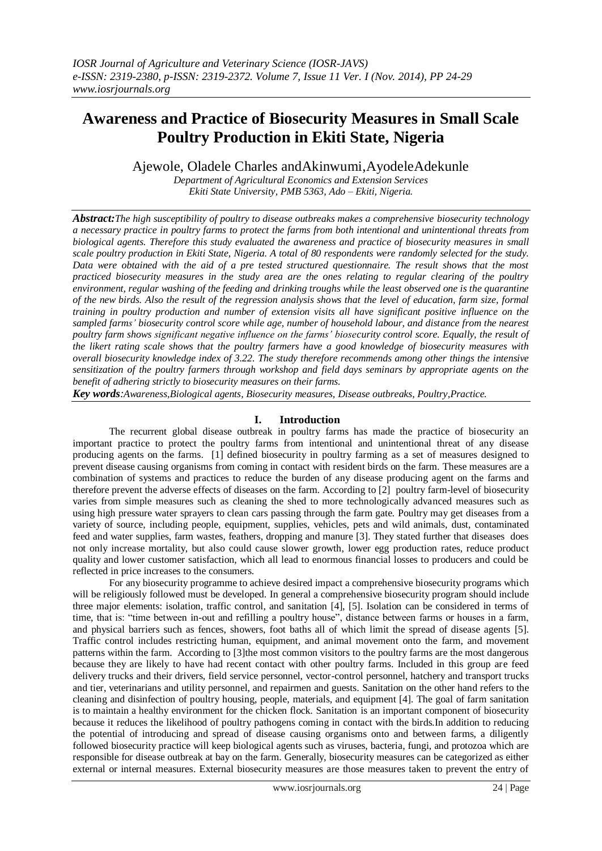# **Awareness and Practice of Biosecurity Measures in Small Scale Poultry Production in Ekiti State, Nigeria**

Ajewole, Oladele Charles andAkinwumi,AyodeleAdekunle

*Department of Agricultural Economics and Extension Services Ekiti State University, PMB 5363, Ado – Ekiti, Nigeria.*

*Abstract:The high susceptibility of poultry to disease outbreaks makes a comprehensive biosecurity technology a necessary practice in poultry farms to protect the farms from both intentional and unintentional threats from biological agents. Therefore this study evaluated the awareness and practice of biosecurity measures in small scale poultry production in Ekiti State, Nigeria. A total of 80 respondents were randomly selected for the study. Data were obtained with the aid of a pre tested structured questionnaire. The result shows that the most practiced biosecurity measures in the study area are the ones relating to regular clearing of the poultry environment, regular washing of the feeding and drinking troughs while the least observed one is the quarantine of the new birds. Also the result of the regression analysis shows that the level of education, farm size, formal training in poultry production and number of extension visits all have significant positive influence on the sampled farms' biosecurity control score while age, number of household labour, and distance from the nearest poultry farm shows significant negative influence on the farms' biosecurity control score. Equally, the result of the likert rating scale shows that the poultry farmers have a good knowledge of biosecurity measures with overall biosecurity knowledge index of 3.22. The study therefore recommends among other things the intensive sensitization of the poultry farmers through workshop and field days seminars by appropriate agents on the benefit of adhering strictly to biosecurity measures on their farms.*

*Key words:Awareness,Biological agents, Biosecurity measures, Disease outbreaks, Poultry,Practice.*

# **I. Introduction**

The recurrent global disease outbreak in poultry farms has made the practice of biosecurity an important practice to protect the poultry farms from intentional and unintentional threat of any disease producing agents on the farms. [1] defined biosecurity in poultry farming as a set of measures designed to prevent disease causing organisms from coming in contact with resident birds on the farm. These measures are a combination of systems and practices to reduce the burden of any disease producing agent on the farms and therefore prevent the adverse effects of diseases on the farm. According to [2] poultry farm-level of biosecurity varies from simple measures such as cleaning the shed to more technologically advanced measures such as using high pressure water sprayers to clean cars passing through the farm gate. Poultry may get diseases from a variety of source, including people, equipment, supplies, vehicles, pets and wild animals, dust, contaminated feed and water supplies, farm wastes, feathers, dropping and manure [3]. They stated further that diseases does not only increase mortality, but also could cause slower growth, lower egg production rates, reduce product quality and lower customer satisfaction, which all lead to enormous financial losses to producers and could be reflected in price increases to the consumers.

For any biosecurity programme to achieve desired impact a comprehensive biosecurity programs which will be religiously followed must be developed. In general a comprehensive biosecurity program should include three major elements: isolation, traffic control, and sanitation [4], [5]. Isolation can be considered in terms of time, that is: "time between in-out and refilling a poultry house", distance between farms or houses in a farm, and physical barriers such as fences, showers, foot baths all of which limit the spread of disease agents [5]. Traffic control includes restricting human, equipment, and animal movement onto the farm, and movement patterns within the farm. According to [3]the most common visitors to the poultry farms are the most dangerous because they are likely to have had recent contact with other poultry farms. Included in this group are feed delivery trucks and their drivers, field service personnel, vector-control personnel, hatchery and transport trucks and tier, veterinarians and utility personnel, and repairmen and guests. Sanitation on the other hand refers to the cleaning and disinfection of poultry housing, people, materials, and equipment [4]. The goal of farm sanitation is to maintain a healthy environment for the chicken flock. Sanitation is an important component of biosecurity because it reduces the likelihood of poultry pathogens coming in contact with the birds.In addition to reducing the potential of introducing and spread of disease causing organisms onto and between farms, a diligently followed biosecurity practice will keep biological agents such as viruses, bacteria, fungi, and protozoa which are responsible for disease outbreak at bay on the farm. Generally, biosecurity measures can be categorized as either external or internal measures. External biosecurity measures are those measures taken to prevent the entry of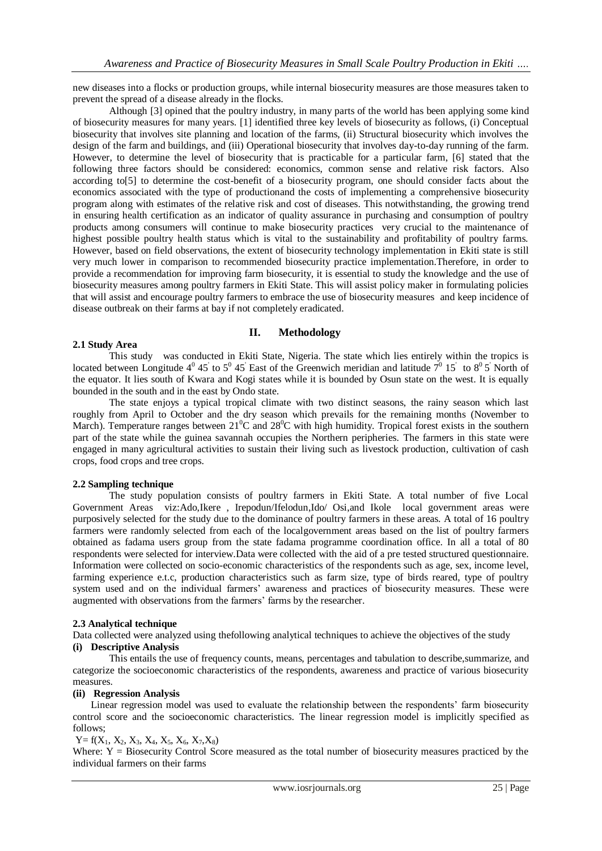new diseases into a flocks or production groups, while internal biosecurity measures are those measures taken to prevent the spread of a disease already in the flocks.

Although [3] opined that the poultry industry, in many parts of the world has been applying some kind of biosecurity measures for many years. [1] identified three key levels of biosecurity as follows, (i) Conceptual biosecurity that involves site planning and location of the farms, (ii) Structural biosecurity which involves the design of the farm and buildings, and (iii) Operational biosecurity that involves day-to-day running of the farm. However, to determine the level of biosecurity that is practicable for a particular farm, [6] stated that the following three factors should be considered: economics, common sense and relative risk factors. Also according to[5] to determine the cost-benefit of a biosecurity program, one should consider facts about the economics associated with the type of productionand the costs of implementing a comprehensive biosecurity program along with estimates of the relative risk and cost of diseases. This notwithstanding, the growing trend in ensuring health certification as an indicator of quality assurance in purchasing and consumption of poultry products among consumers will continue to make biosecurity practices very crucial to the maintenance of highest possible poultry health status which is vital to the sustainability and profitability of poultry farms. However, based on field observations, the extent of biosecurity technology implementation in Ekiti state is still very much lower in comparison to recommended biosecurity practice implementation.Therefore, in order to provide a recommendation for improving farm biosecurity, it is essential to study the knowledge and the use of biosecurity measures among poultry farmers in Ekiti State. This will assist policy maker in formulating policies that will assist and encourage poultry farmers to embrace the use of biosecurity measures and keep incidence of disease outbreak on their farms at bay if not completely eradicated.

# **II. Methodology**

# **2.1 Study Area**

This study was conducted in Ekiti State, Nigeria. The state which lies entirely within the tropics is located between Longitude  $4^0$  45 to  $5^0$  45 East of the Greenwich meridian and latitude  $7^0$  15 to  $8^0$  5 North of the equator. It lies south of Kwara and Kogi states while it is bounded by Osun state on the west. It is equally bounded in the south and in the east by Ondo state.

The state enjoys a typical tropical climate with two distinct seasons, the rainy season which last roughly from April to October and the dry season which prevails for the remaining months (November to March). Temperature ranges between  $21^{\circ}$ C and  $28^{\circ}$ C with high humidity. Tropical forest exists in the southern part of the state while the guinea savannah occupies the Northern peripheries. The farmers in this state were engaged in many agricultural activities to sustain their living such as livestock production, cultivation of cash crops, food crops and tree crops.

### **2.2 Sampling technique**

The study population consists of poultry farmers in Ekiti State. A total number of five Local Government Areas viz:Ado,Ikere , Irepodun/Ifelodun,Ido/ Osi,and Ikole local government areas were purposively selected for the study due to the dominance of poultry farmers in these areas. A total of 16 poultry farmers were randomly selected from each of the localgovernment areas based on the list of poultry farmers obtained as fadama users group from the state fadama programme coordination office. In all a total of 80 respondents were selected for interview.Data were collected with the aid of a pre tested structured questionnaire. Information were collected on socio-economic characteristics of the respondents such as age, sex, income level, farming experience e.t.c, production characteristics such as farm size, type of birds reared, type of poultry system used and on the individual farmers' awareness and practices of biosecurity measures. These were augmented with observations from the farmers' farms by the researcher.

### **2.3 Analytical technique**

Data collected were analyzed using thefollowing analytical techniques to achieve the objectives of the study **(i) Descriptive Analysis**

This entails the use of frequency counts, means, percentages and tabulation to describe,summarize, and categorize the socioeconomic characteristics of the respondents, awareness and practice of various biosecurity measures.

### **(ii) Regression Analysis**

Linear regression model was used to evaluate the relationship between the respondents' farm biosecurity control score and the socioeconomic characteristics. The linear regression model is implicitly specified as follows;

### $Y= f(X_1, X_2, X_3, X_4, X_5, X_6, X_7, X_8)$

Where:  $Y = Biosecurity$  Control Score measured as the total number of biosecurity measures practiced by the individual farmers on their farms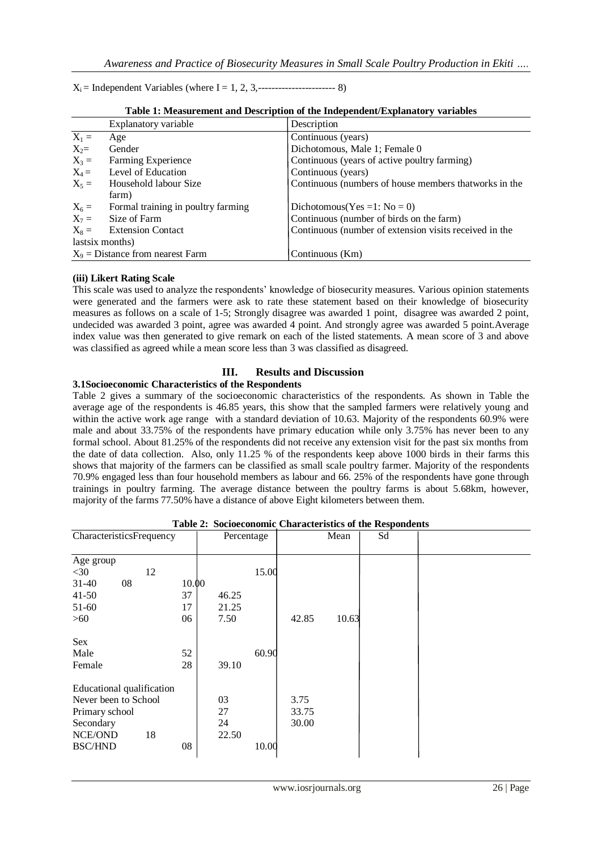Xi = Independent Variables (where I = 1, 2, 3,----------------------- 8)

|                 | Table 1: Measurement and Description of the Independent/Explanatory variables |                                                        |  |  |  |  |  |  |  |
|-----------------|-------------------------------------------------------------------------------|--------------------------------------------------------|--|--|--|--|--|--|--|
|                 | Explanatory variable                                                          | Description                                            |  |  |  |  |  |  |  |
| $X_1 =$         | Age                                                                           | Continuous (years)                                     |  |  |  |  |  |  |  |
| $X_2=$          | Gender                                                                        | Dichotomous, Male 1; Female 0                          |  |  |  |  |  |  |  |
| $X_3 =$         | Farming Experience                                                            | Continuous (years of active poultry farming)           |  |  |  |  |  |  |  |
| $X_4 =$         | Level of Education                                                            | Continuous (years)                                     |  |  |  |  |  |  |  |
| $X_5 =$         | Household labour Size<br>farm)                                                | Continuous (numbers of house members that works in the |  |  |  |  |  |  |  |
| $X_6 =$         | Formal training in poultry farming                                            | Dichotomous(Yes = 1: $No = 0$ )                        |  |  |  |  |  |  |  |
| $X_7 =$         | Size of Farm                                                                  | Continuous (number of birds on the farm)               |  |  |  |  |  |  |  |
| $X_8 =$         | <b>Extension Contact</b>                                                      | Continuous (number of extension visits received in the |  |  |  |  |  |  |  |
| lastsix months) |                                                                               |                                                        |  |  |  |  |  |  |  |
|                 | $X_9$ = Distance from nearest Farm                                            | Continuous (Km)                                        |  |  |  |  |  |  |  |

| Table 1: Measurement and Description of the Independent/Explanatory variables |  |  |
|-------------------------------------------------------------------------------|--|--|
|-------------------------------------------------------------------------------|--|--|

# **(iii) Likert Rating Scale**

This scale was used to analyze the respondents' knowledge of biosecurity measures. Various opinion statements were generated and the farmers were ask to rate these statement based on their knowledge of biosecurity measures as follows on a scale of 1-5; Strongly disagree was awarded 1 point, disagree was awarded 2 point, undecided was awarded 3 point, agree was awarded 4 point. And strongly agree was awarded 5 point.Average index value was then generated to give remark on each of the listed statements. A mean score of 3 and above was classified as agreed while a mean score less than 3 was classified as disagreed.

# **III. Results and Discussion**

# **3.1Socioeconomic Characteristics of the Respondents**

Table 2 gives a summary of the socioeconomic characteristics of the respondents. As shown in Table the average age of the respondents is 46.85 years, this show that the sampled farmers were relatively young and within the active work age range with a standard deviation of 10.63. Majority of the respondents 60.9% were male and about 33.75% of the respondents have primary education while only 3.75% has never been to any formal school. About 81.25% of the respondents did not receive any extension visit for the past six months from the date of data collection. Also, only 11.25 % of the respondents keep above 1000 birds in their farms this shows that majority of the farmers can be classified as small scale poultry farmer. Majority of the respondents 70.9% engaged less than four household members as labour and 66. 25% of the respondents have gone through trainings in poultry farming. The average distance between the poultry farms is about 5.68km, however, majority of the farms 77.50% have a distance of above Eight kilometers between them.

| Table 2: Socioeconomic Characteristics of the Respondents |            |       |       |       |       |  |  |  |  |  |
|-----------------------------------------------------------|------------|-------|-------|-------|-------|--|--|--|--|--|
| CharacteristicsFrequency                                  | Percentage |       |       | Mean  | Sd    |  |  |  |  |  |
| Age group                                                 |            |       |       |       |       |  |  |  |  |  |
| 12<br>$<$ 30                                              |            |       | 15.00 |       |       |  |  |  |  |  |
| $31 - 40$<br>08                                           | 10.00      |       |       |       |       |  |  |  |  |  |
| $41 - 50$                                                 | 37         | 46.25 |       |       |       |  |  |  |  |  |
| 51-60                                                     | 17         | 21.25 |       |       |       |  |  |  |  |  |
| >60                                                       | 06         | 7.50  |       | 42.85 | 10.63 |  |  |  |  |  |
| Sex                                                       |            |       |       |       |       |  |  |  |  |  |
| Male                                                      | 52         |       | 60.90 |       |       |  |  |  |  |  |
| Female                                                    | 28         | 39.10 |       |       |       |  |  |  |  |  |
| Educational qualification                                 |            |       |       |       |       |  |  |  |  |  |
| Never been to School                                      |            | 03    |       | 3.75  |       |  |  |  |  |  |
| Primary school                                            |            | 27    |       | 33.75 |       |  |  |  |  |  |
| Secondary                                                 |            | 24    |       | 30.00 |       |  |  |  |  |  |
| 18<br>NCE/OND                                             |            | 22.50 |       |       |       |  |  |  |  |  |
| <b>BSC/HND</b>                                            | 08         |       | 10.00 |       |       |  |  |  |  |  |

**Table 2: Socioeconomic Characteristics of the Respondents**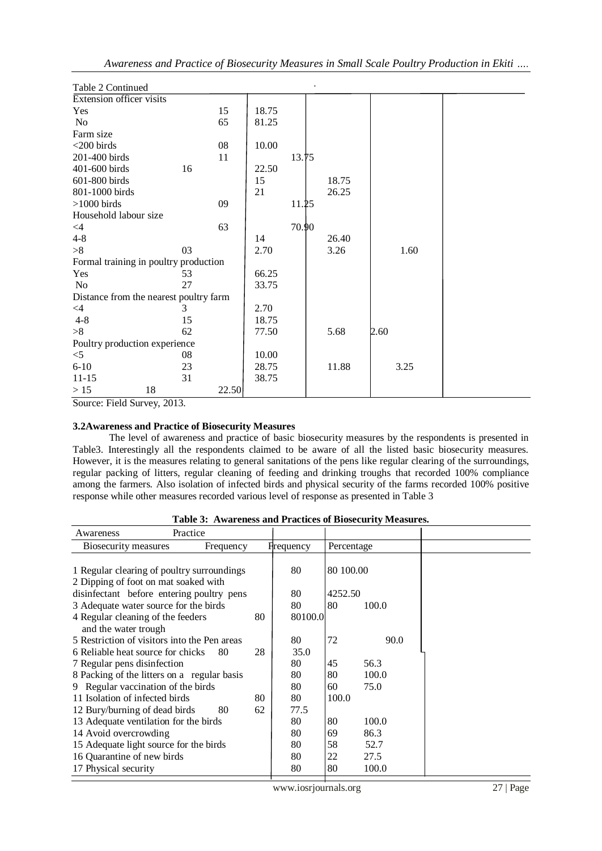| Table 2 Continued                      |    |       |       |       | $\mathbf{r}$ |       |      |  |
|----------------------------------------|----|-------|-------|-------|--------------|-------|------|--|
| Extension officer visits               |    |       |       |       |              |       |      |  |
| Yes                                    |    | 15    | 18.75 |       |              |       |      |  |
| No                                     |    | 65    | 81.25 |       |              |       |      |  |
| Farm size                              |    |       |       |       |              |       |      |  |
| $<$ 200 birds                          |    | 08    | 10.00 |       |              |       |      |  |
| 201-400 birds                          |    | 11    |       | 13.15 |              |       |      |  |
| 401-600 birds                          | 16 |       | 22.50 |       |              |       |      |  |
| 601-800 birds                          |    |       | 15    |       |              | 18.75 |      |  |
| 801-1000 birds                         |    |       | 21    |       |              | 26.25 |      |  |
| $>1000$ birds                          |    | 09    |       | 11.25 |              |       |      |  |
| Household labour size                  |    |       |       |       |              |       |      |  |
| $\leq 4$                               |    | 63    |       | 70.90 |              |       |      |  |
| $4 - 8$                                |    |       | 14    |       |              | 26.40 |      |  |
| >8                                     | 03 |       | 2.70  |       |              | 3.26  | 1.60 |  |
| Formal training in poultry production  |    |       |       |       |              |       |      |  |
| Yes                                    | 53 |       | 66.25 |       |              |       |      |  |
| No                                     | 27 |       | 33.75 |       |              |       |      |  |
| Distance from the nearest poultry farm |    |       |       |       |              |       |      |  |
| $\leq$ 4                               | 3  |       | 2.70  |       |              |       |      |  |
| $4 - 8$                                | 15 |       | 18.75 |       |              |       |      |  |
| >8                                     | 62 |       | 77.50 |       |              | 5.68  | 2.60 |  |
| Poultry production experience          |    |       |       |       |              |       |      |  |
| $<$ 5                                  | 08 |       | 10.00 |       |              |       |      |  |
| $6 - 10$                               | 23 |       | 28.75 |       |              | 11.88 | 3.25 |  |
| $11 - 15$                              | 31 |       | 38.75 |       |              |       |      |  |
| >15<br>18                              |    | 22.50 |       |       |              |       |      |  |

Source: Field Survey, 2013.

# **3.2Awareness and Practice of Biosecurity Measures**

The level of awareness and practice of basic biosecurity measures by the respondents is presented in Table3. Interestingly all the respondents claimed to be aware of all the listed basic biosecurity measures. However, it is the measures relating to general sanitations of the pens like regular clearing of the surroundings, regular packing of litters, regular cleaning of feeding and drinking troughs that recorded 100% compliance among the farmers. Also isolation of infected birds and physical security of the farms recorded 100% positive response while other measures recorded various level of response as presented in Table 3

| aoic of the choice and fluched of Diodeculity Hecadul Co<br>Practice<br>Awareness  |    |                   |            |       |  |
|------------------------------------------------------------------------------------|----|-------------------|------------|-------|--|
| Biosecurity measures<br>Frequency                                                  |    | <b>H</b> requency | Percentage |       |  |
| 1 Regular clearing of poultry surroundings<br>2 Dipping of foot on mat soaked with |    | 80                | 80 100.00  |       |  |
| disinfectant before entering poultry pens                                          |    | 80                | 4252.50    |       |  |
| 3 Adequate water source for the birds                                              |    | 80                | 80         | 100.0 |  |
| 4 Regular cleaning of the feeders<br>and the water trough                          | 80 | 80100.0           |            |       |  |
| 5 Restriction of visitors into the Pen areas                                       |    | 80                | 72         | 90.0  |  |
| 6 Reliable heat source for chicks<br>80                                            | 28 | 35.0              |            |       |  |
| 7 Regular pens disinfection                                                        |    | 80                | 45         | 56.3  |  |
| 8 Packing of the litters on a regular basis                                        |    | 80                | 80         | 100.0 |  |
| 9 Regular vaccination of the birds                                                 |    | 80                | 60         | 75.0  |  |
| 11 Isolation of infected birds                                                     | 80 | 80                | 100.0      |       |  |
| 12 Bury/burning of dead birds<br>80                                                | 62 | 77.5              |            |       |  |
| 13 Adequate ventilation for the birds                                              |    | 80                | 80         | 100.0 |  |
| 14 Avoid overcrowding                                                              | 80 | 69                | 86.3       |       |  |
| 15 Adequate light source for the birds                                             | 80 | 58                | 52.7       |       |  |
| 16 Quarantine of new birds                                                         |    | 80                | 22         | 27.5  |  |
| 17 Physical security                                                               |    | 80                | 80         | 100.0 |  |

**Table 3: Awareness and Practices of Biosecurity Measures.**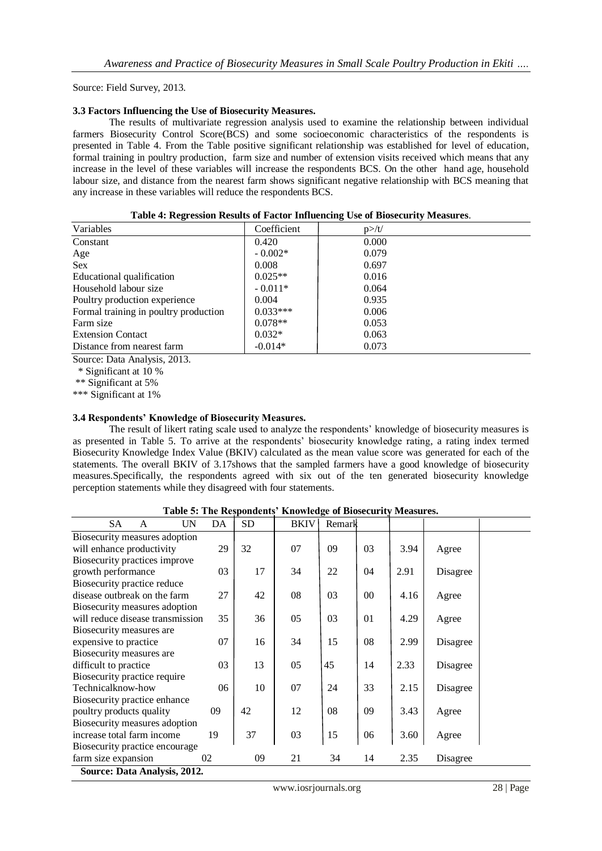Source: Field Survey, 2013.

#### **3.3 Factors Influencing the Use of Biosecurity Measures.**

The results of multivariate regression analysis used to examine the relationship between individual farmers Biosecurity Control Score(BCS) and some socioeconomic characteristics of the respondents is presented in Table 4. From the Table positive significant relationship was established for level of education, formal training in poultry production, farm size and number of extension visits received which means that any increase in the level of these variables will increase the respondents BCS. On the other hand age, household labour size, and distance from the nearest farm shows significant negative relationship with BCS meaning that any increase in these variables will reduce the respondents BCS.

| Variables                             | Coefficient | $p$ >/t/ |
|---------------------------------------|-------------|----------|
| Constant                              | 0.420       | 0.000    |
| Age                                   | $-0.002*$   | 0.079    |
| <b>Sex</b>                            | 0.008       | 0.697    |
| Educational qualification             | $0.025**$   | 0.016    |
| Household labour size                 | $-0.011*$   | 0.064    |
| Poultry production experience         | 0.004       | 0.935    |
| Formal training in poultry production | $0.033***$  | 0.006    |
| Farm size                             | $0.078**$   | 0.053    |
| <b>Extension Contact</b>              | $0.032*$    | 0.063    |
| Distance from nearest farm            | $-0.014*$   | 0.073    |

|  |  | Table 4: Regression Results of Factor Influencing Use of Biosecurity Measures. |  |
|--|--|--------------------------------------------------------------------------------|--|
|  |  |                                                                                |  |

Source: Data Analysis, 2013.

\* Significant at 10 %

\*\* Significant at 5%

\*\*\* Significant at 1%

## **3.4 Respondents' Knowledge of Biosecurity Measures.**

The result of likert rating scale used to analyze the respondents' knowledge of biosecurity measures is as presented in Table 5. To arrive at the respondents' biosecurity knowledge rating, a rating index termed Biosecurity Knowledge Index Value (BKIV) calculated as the mean value score was generated for each of the statements. The overall BKIV of 3.17shows that the sampled farmers have a good knowledge of biosecurity measures.Specifically, the respondents agreed with six out of the ten generated biosecurity knowledge perception statements while they disagreed with four statements.

| <b>SA</b>                        | A                            | UN | DA | <b>SD</b> | <b>BKIV</b> | Remark |        |      |          |  |
|----------------------------------|------------------------------|----|----|-----------|-------------|--------|--------|------|----------|--|
| Biosecurity measures adoption    |                              |    |    |           |             |        |        |      |          |  |
| will enhance productivity        |                              |    | 29 | 32        | 07          | 09     | 03     | 3.94 | Agree    |  |
| Biosecurity practices improve    |                              |    |    |           |             |        |        |      |          |  |
| growth performance               |                              |    | 03 | 17        | 34          | 22     | 04     | 2.91 | Disagree |  |
| Biosecurity practice reduce      |                              |    |    |           |             |        |        |      |          |  |
| disease outbreak on the farm     |                              |    | 27 | 42        | 08          | 03     | $00\,$ | 4.16 | Agree    |  |
| Biosecurity measures adoption    |                              |    |    |           |             |        |        |      |          |  |
| will reduce disease transmission |                              |    | 35 | 36        | 05          | 03     | 01     | 4.29 | Agree    |  |
| Biosecurity measures are         |                              |    |    |           |             |        |        |      |          |  |
| expensive to practice            |                              |    | 07 | 16        | 34          | 15     | 08     | 2.99 | Disagree |  |
| Biosecurity measures are         |                              |    |    |           |             |        |        |      |          |  |
| difficult to practice            |                              |    | 03 | 13        | 05          | 45     | 14     | 2.33 | Disagree |  |
| Biosecurity practice require     |                              |    |    |           |             |        |        |      |          |  |
| Technicalknow-how                |                              |    | 06 | 10        | 07          | 24     | 33     | 2.15 | Disagree |  |
| Biosecurity practice enhance     |                              |    |    |           |             |        |        |      |          |  |
| poultry products quality         |                              |    | 09 | 42        | 12          | 08     | 09     | 3.43 | Agree    |  |
| Biosecurity measures adoption    |                              |    |    |           |             |        |        |      |          |  |
| 19<br>increase total farm income |                              |    |    | 37        | 03          | 15     | 06     | 3.60 | Agree    |  |
| Biosecurity practice encourage   |                              |    |    |           |             |        |        |      |          |  |
| farm size expansion              |                              |    | 02 | 09        | 21          | 34     | 14     | 2.35 | Disagree |  |
|                                  | Source: Data Analysis, 2012. |    |    |           |             |        |        |      |          |  |

**Table 5: The Respondents' Knowledge of Biosecurity Measures.**

www.iosrjournals.org 28 | Page